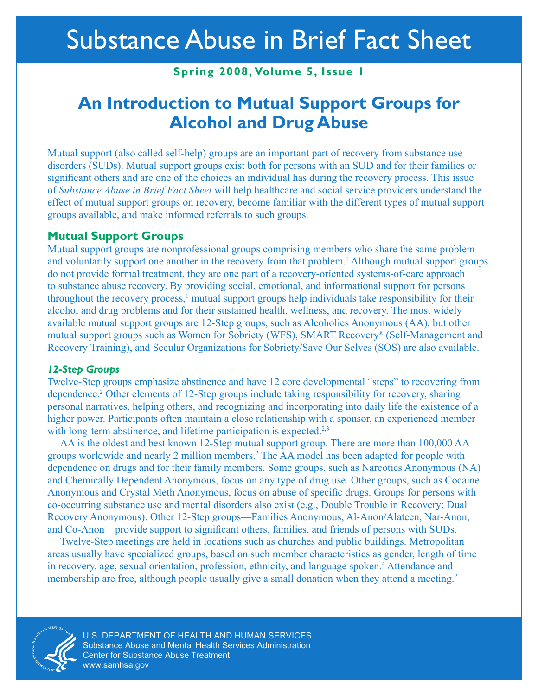### **Spring 2008, Volume 5, Issue 1**

## **An Introduction to Mutual Support Groups for Alcohol and Drug Abuse**

Mutual support (also called self-help) groups are an important part of recovery from substance use disorders (SUDs). Mutual support groups exist both for persons with an SUD and for their families or significant others and are one of the choices an individual has during the recovery process. This issue of *Substance Abuse in Brief Fact Sheet* will help healthcare and social service providers understand the effect of mutual support groups on recovery, become familiar with the different types of mutual support groups available, and make informed referrals to such groups.

### **Mutual Support Groups**

Mutual support groups are nonprofessional groups comprising members who share the same problem and voluntarily support one another in the recovery from that problem.<sup>1</sup> Although mutual support groups do not provide formal treatment, they are one part of a recovery-oriented systems-of-care approach to substance abuse recovery. By providing social, emotional, and informational support for persons throughout the recovery process,<sup>1</sup> mutual support groups help individuals take responsibility for their alcohol and drug problems and for their sustained health, wellness, and recovery. The most widely available mutual support groups are 12-Step groups, such as Alcoholics Anonymous (AA), but other mutual support groups such as Women for Sobriety (WFS), SMART Recovery® (Self-Management and Recovery Training), and Secular Organizations for Sobriety/Save Our Selves (SOS) are also available.

#### *12-Step Groups*

Twelve-Step groups emphasize abstinence and have 12 core developmental "steps" to recovering from dependence.2 Other elements of 12-Step groups include taking responsibility for recovery, sharing personal narratives, helping others, and recognizing and incorporating into daily life the existence of a higher power. Participants often maintain a close relationship with a sponsor, an experienced member with long-term abstinence, and lifetime participation is expected.<sup>2,3</sup>

AA is the oldest and best known 12-Step mutual support group. There are more than 100,000 AA groups worldwide and nearly 2 million members.2 The AA model has been adapted for people with dependence on drugs and for their family members. Some groups, such as Narcotics Anonymous (NA) and Chemically Dependent Anonymous, focus on any type of drug use. Other groups, such as Cocaine Anonymous and Crystal Meth Anonymous, focus on abuse of specific drugs. Groups for persons with co-occurring substance use and mental disorders also exist (e.g., Double Trouble in Recovery; Dual Recovery Anonymous). Other 12-Step groups—Families Anonymous, Al-Anon/Alateen, Nar-Anon, and Co-Anon—provide support to significant others, families, and friends of persons with SUDs.

Twelve-Step meetings are held in locations such as churches and public buildings. Metropolitan areas usually have specialized groups, based on such member characteristics as gender, length of time in recovery, age, sexual orientation, profession, ethnicity, and language spoken.<sup>4</sup> Attendance and membership are free, although people usually give a small donation when they attend a meeting.<sup>2</sup>



U.S. DEPARTMENT OF HEALTH AND HUMAN SERVICES Substance Abuse and Mental Health Services Administration Center for Substance Abuse Treatment [www.samhsa.gov](http://www.samhsa.gov)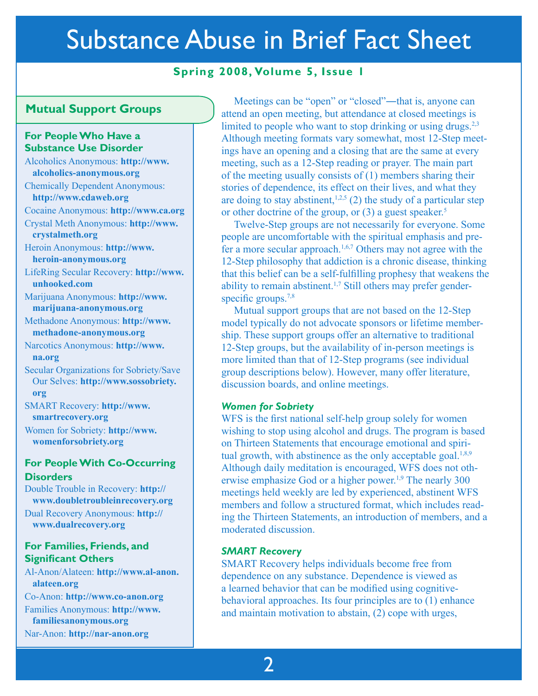### **Spring 2008, Volume 5, Issue 1**

#### **Mutual Support Groups**

#### **For People Who Have a Substance Use Disorder**

Alcoholics Anonymous: **http://www. [alcoholics-anonymous.org](http://www.alcoholics-anonymous.org)** 

Chemically Dependent Anonymous: **http://www.cdaweb.org** 

Cocaine Anonymous: **http://www.ca.org** 

C[rystal Meth Anonymous:](http://www.crystalmeth.org) **http://www. crystalmeth.org** 

Heroin Anonymous: **http://www. [heroin-anonymous.org](http://www.heroin-anonymous.org)** 

L[ifeRing Secular Recovery:](http://www.unhooked.com) **http://www. unhooked.com** 

Marijuana Anonymous: **http://www. [marijuana-anonymous.org](http://www.marijuana-anonymous.org)** 

Methadone Anonymous: **http://www. [methadone-anonymous.org](http://www.methadone-anonymous.org)** 

N[arcotics Anonymous:](http://www.na.org) **http://www. na.org** 

Secular Organizations for Sobriety/Save Our Selves: **[http://www.sossobriety.](http://www.sossobriety.org)  org** 

SMART Recovery: **http://www. [smartrecovery.org](http://www.smartrecovery.org)** 

Women for Sobriety: **http://www. [womenforsobriety.org](http://www.womenforsobriety.org)** 

#### **For People With Co-Occurring Disorders**

Double Trouble in Recovery: **http:// www.doubletroubleinrecovery.org** 

Dual Recovery Anonymous: **http:// www.dualrecovery.org** 

#### **For Families, Friends, and Significant Others**

Al-Anon/Alateen: **[http://www.al-anon.](http://www.al-anon.alateen.org)  alateen.org** 

Co-Anon: **http://www.co-anon.org**  Families Anonymous: **http://www. [familiesanonymous.org](http://www.familiesanonymous.org)**  Nar-Anon: **http://nar-anon.org** 

Meetings can be "open" or "closed"—that is, anyone can attend an open meeting, but attendance at closed meetings is limited to people who want to stop drinking or using drugs. $2,3$ Although meeting formats vary somewhat, most 12-Step meet ings have an opening and a closing that are the same at every meeting, such as a 12-Step reading or prayer. The main part of the meeting usually consists of (1) members sharing their stories of dependence, its effect on their lives, and what they are doing to stay abstinent,<sup>1,2,5</sup> (2) the study of a particular step or other doctrine of the group, or (3) a guest speaker.<sup>5</sup> ĺ

Twelve-Step groups are not necessarily for everyone. Some people are uncomfortable with the spiritual emphasis and pre fer a more secular approach.1,6,7 Others may not agree with the 12-Step philosophy that addiction is a chronic disease, thinking that this belief can be a self-fulfilling prophesy that weakens the ability to remain abstinent.1,7 Still others may prefer genderspecific groups.<sup>7,8</sup> 1

Mutual support groups that are not based on the 12-Step model typically do not advocate sponsors or lifetime member ship. These support groups offer an alternative to traditional 12-Step groups, but the availability of in-person meetings is more limited than that of 12-Step programs (see individual group descriptions below). However, many offer literature, discussion boards, and online meetings.  $\ddot{\phantom{0}}$ 

#### *Women for Sobriety*

WFS is the first national self-help group solely for women wishing to stop using alcohol and drugs. The program is based on Thirteen Statements that encourage emotional and spiri tual growth, with abstinence as the only acceptable goal. $1,8,9$ Although daily meditation is encouraged, WFS does not otherwise emphasize God or a higher power.<sup>1,9</sup> The nearly 300 meetings held weekly are led by experienced, abstinent WFS members and follow a structured format, which includes read ing the Thirteen Statements, an introduction of members, and a moderated discussion. 1 1

#### *SMART Recovery*

SMART Recovery helps individuals become free from dependence on any substance. Dependence is viewed as a learned behavior that can be modified using cognitivebehavioral approaches. Its four principles are to (1) enhance and maintain motivation to abstain, (2) cope with urges,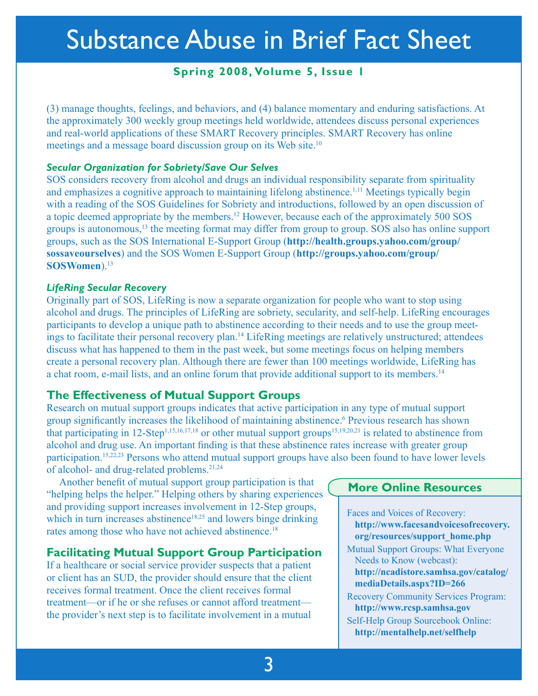## **Spring 2008, Volume 5, Issue 1**

(3) manage thoughts, feelings, and behaviors, and (4) balance momentary and enduring satisfactions. At the approximately 300 weekly group meetings held worldwide, attendees discuss personal experiences and real-world applications of these SMART Recovery principles. SMART Recovery has online meetings and a message board discussion group on its Web site.<sup>10</sup>

#### *Secular Organization for Sobriety/Save Our Selves*

SOS considers recovery from alcohol and drugs an individual responsibility separate from spirituality and emphasizes a cognitive approach to maintaining lifelong abstinence.<sup>1,11</sup> Meetings typically begin with a reading of the SOS Guidelines for Sobriety and introductions, followed by an open discussion of a topic deemed appropriate by the members.<sup>12</sup> However, because each of the approximately 500 SOS groups is autonomous,13 the meeting format may differ from group to group. SOS also has online support groups, such as the SOS International E-Support Group (**http://health.groups.yahoo.com/group/ sossaveourselves**) and the SOS Women E-Support Group (**http://groups.yahoo.com/group/ SOSWomen**).<sup>13</sup>

#### *LifeRing Secular Recovery*

Originally part of SOS, LifeRing is now a separate organization for people who want to stop using alcohol and drugs. The principles of LifeRing are sobriety, secularity, and self-help. LifeRing encourages participants to develop a unique path to abstinence according to their needs and to use the group meetings to facilitate their personal recovery plan.14 LifeRing meetings are relatively unstructured; attendees discuss what has happened to them in the past week, but some meetings focus on helping members create a personal recovery plan. Although there are fewer than 100 meetings worldwide, LifeRing has a chat room, e-mail lists, and an online forum that provide additional support to its members.14

### **The Effectiveness of Mutual Support Groups**

Research on mutual support groups indicates that active participation in any type of mutual support group significantly increases the likelihood of maintaining abstinence.<sup>6</sup> Previous research has shown that participating in 12-Step<sup>1,15,16,17,18</sup> or other mutual support groups<sup>15,19,20,21</sup> is related to abstinence from alcohol and drug use. An important finding is that these abstinence rates increase with greater group participation.<sup>15,22,23</sup> Persons who attend mutual support groups have also been found to have lower levels of alcohol- and drug-related problems.<sup>21,24</sup>

Another benefit of mutual support group participation is that "helping helps the helper." Helping others by sharing experiences and providing support increases involvement in 12-Step groups, which in turn increases abstinence<sup>18,25</sup> and lowers binge drinking rates among those who have not achieved abstinence.<sup>18</sup>

### **Facilitating Mutual Support Group Participation**

If a healthcare or social service provider suspects that a patient or client has an SUD, the provider should ensure that the client receives formal treatment. Once the client receives formal treatment—or if he or she refuses or cannot afford treatment the provider's next step is to facilitate involvement in a mutual

#### **More Online Resources**

Faces and Voices of Recovery: **[http://www.facesandvoicesofrecovery.](http://www.facesandvoicesofrecovery.org/resources/support_home.php) org/resources/support\_home.php**  Mutual Support Groups: What Everyone Needs to Know (webcast): **[http://ncadistore.samhsa.gov/catalog/](http://ncadistore.samhsa.gov/catalog/mediaDetails.aspx?ID=266)  mediaDetails.aspx?ID=266**  Recovery Community Services Program: **http://www.rcsp.samhsa.gov**  Self-Help Group Sourcebook Online: **http://mentalhelp.net/selfhelp**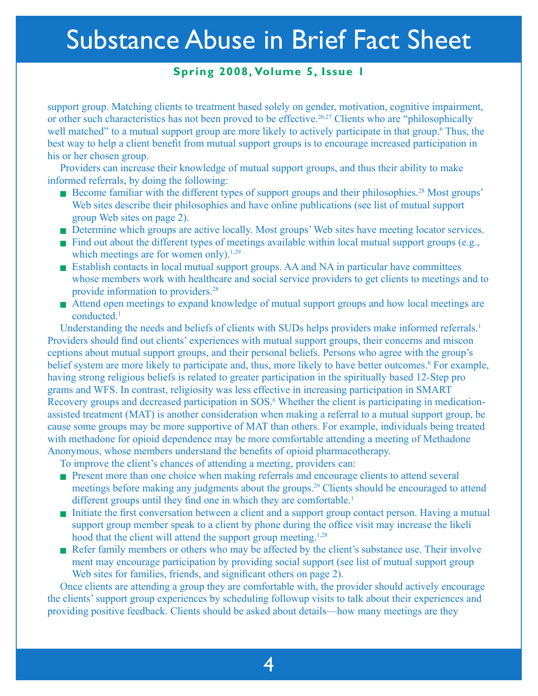## **Spring 2008, Volume 5, Issue 1**

support group. Matching clients to treatment based solely on gender, motivation, cognitive impairment, or other such characteristics has not been proved to be effective.<sup>26,27</sup> Clients who are "philosophically well matched" to a mutual support group are more likely to actively participate in that group.<sup>6</sup> Thus, the best way to help a client benefit from mutual support groups is to encourage increased participation in his or her chosen group.

Providers can increase their knowledge of mutual support groups, and thus their ability to make informed referrals, by doing the following:

- Example 18 Become familiar with the different types of support groups and their philosophies.<sup>28</sup> Most groups' Web sites describe their philosophies and have online publications (see list of mutual support group Web sites on page 2).
- <sup>n</sup> Determine which groups are active locally. Most groups' Web sites have meeting locator services.
- $\blacksquare$  Find out about the different types of meetings available within local mutual support groups (e.g., which meetings are for women only).<sup>1,29</sup>
- $\blacksquare$  Establish contacts in local mutual support groups. AA and NA in particular have committees whose members work with healthcare and social service providers to get clients to meetings and to provide information to providers.28
- Attend open meetings to expand knowledge of mutual support groups and how local meetings are conducted.1

Understanding the needs and beliefs of clients with SUDs helps providers make informed referrals.<sup>1</sup> Providers should find out clients' experiences with mutual support groups, their concerns and miscon ceptions about mutual support groups, and their personal beliefs. Persons who agree with the group's belief system are more likely to participate and, thus, more likely to have better outcomes.<sup>6</sup> For example, having strong religious beliefs is related to greater participation in the spiritually based 12-Step pro grams and WFS. In contrast, religiosity was less effective in increasing participation in SMART Recovery groups and decreased participation in SOS.<sup>6</sup> Whether the client is participating in medicationassisted treatment (MAT) is another consideration when making a referral to a mutual support group, be cause some groups may be more supportive of MAT than others. For example, individuals being treated with methadone for opioid dependence may be more comfortable attending a meeting of Methadone Anonymous, whose members understand the benefits of opioid pharmacotherapy.

To improve the client's chances of attending a meeting, providers can:

- n Present more than one choice when making referrals and encourage clients to attend several meetings before making any judgments about the groups.<sup>29</sup> Clients should be encouraged to attend different groups until they find one in which they are comfortable.<sup>1</sup>
- <sup>n</sup> Initiate the first conversation between a client and a support group contact person. Having a mutual support group member speak to a client by phone during the office visit may increase the likeli hood that the client will attend the support group meeting.<sup>1,28</sup>
- <sup>n</sup> Refer family members or others who may be affected by the client's substance use. Their involve ment may encourage participation by providing social support (see list of mutual support group Web sites for families, friends, and significant others on page 2).

Once clients are attending a group they are comfortable with, the provider should actively encourage the clients' support group experiences by scheduling followup visits to talk about their experiences and providing positive feedback. Clients should be asked about details—how many meetings are they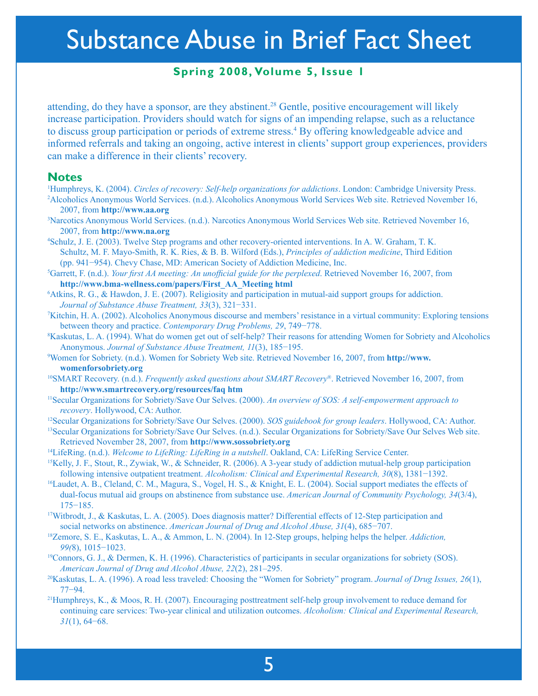## **Spring 2008, Volume 5, Issue 1**

attending, do they have a sponsor, are they abstinent.<sup>28</sup> Gentle, positive encouragement will likely increase participation. Providers should watch for signs of an impending relapse, such as a reluctance to discuss group participation or periods of extreme stress.<sup>4</sup> By offering knowledgeable advice and informed referrals and taking an ongoing, active interest in clients' support group experiences, providers can make a difference in their clients' recovery.

#### **Notes**

- <sup>1</sup>Humphreys, K. (2004). *Circles of recovery: Self-help organizations for addictions*. London: Cambridge University Press. <sup>2</sup>Alcoholics Anonymous World Services (n d ). Alcoholics Anonymous World Services Web site. Retri Alcoholics Anonymous World Services. (n.d.). Alcoholics Anonymous World Services Web site. Retrieved November 16, 2007, from **http://www.aa.org**
- 3 Narcotics Anonymous World Services. (n.d.). Narcotics Anonymous World Services Web site. Retrieved November 16, 2007, from **http://www.na.org**
- 4 Schulz, J. E. (2003). Twelve Step programs and other recovery-oriented interventions. In A. W. Graham, T. K. Schultz, M. F. Mayo-Smith, R. K. Ries, & B. B. Wilford (Eds.), *Principles of addiction medicine*, Third Edition (pp. 941−954). Chevy Chase, MD: American Society of Addiction Medicine, Inc.
- 5 Garrett, F. (n.d.). *Your first AA meeting: An unofficial guide for the perplexed*. Retrieved November 16, 2007, from **http://www.bma-wellness.com/papers/First\_AA\_Meeting html**
- 6 Atkins, R. G., & Hawdon, J. E. (2007). Religiosity and participation in mutual-aid support groups for addiction. *Journal of Substance Abuse Treatment, 33*(3), 321−331.
- 7 Kitchin, H. A. (2002). Alcoholics Anonymous discourse and members' resistance in a virtual community: Exploring tensions between theory and practice. *Contemporary Drug Problems, 29*, 749−778.
- 8 Kaskutas, L. A. (1994). What do women get out of self-help? Their reasons for attending Women for Sobriety and Alcoholics Anonymous. *Journal of Substance Abuse Treatment, 11*(3), 185−195.
- 9 W[omen for Sobriety. \(n.d.\). Women for Sobriety Web site. Retrieved November 16, 2007, from](http://www.womenforsobriety.org) **http://www. womenforsobriety.org**
- 10SMART Recovery. (n.d.). *Frequently asked questions about SMART Recovery*®. Retrieved November 16, 2007, from **http://www.smartrecovery.org/resources/faq htm**
- <sup>11</sup>Secular Organizations for Sobriety/Save Our Selves. (2000). *An overview of SOS: A self-empowerment approach to*
- recovery. Hollywood, CA: Author.<br><sup>12</sup>Secular Organizations for Sobriety/Save Our Selves. (2000). *SOS guidebook for group leaders*. Hollywood, CA: Author.<br><sup>13</sup>Secular Organizations for Sobriety/Save Our Selves. (n.d.). Sec
- Retrieved November 28, 2007, from **http://www.sossobriety.org**
- 14LifeRing. (n.d.). *Welcome to LifeRing: LifeRing in a nutshell*. Oakland, CA: LifeRing Service Center.
- <sup>15</sup>Kelly, J. F., Stout, R., Zywiak, W., & Schneider, R. (2006). A 3-year study of addiction mutual-help group participation following intensive outpatient treatment. *Alcoholism: Clinical and Experimental Research, 30*(8), 1381−1392.
- <sup>16</sup>Laudet, A. B., Cleland, C. M., Magura, S., Vogel, H. S., & Knight, E. L. (2004). Social support mediates the effects of dual-focus mutual aid groups on abstinence from substance use. *American Journal of Community Psychology, 34*(3/4), 175−185.
- <sup>17</sup>Witbrodt, J., & Kaskutas, L. A. (2005). Does diagnosis matter? Differential effects of 12-Step participation and social networks on abstinence. *American Journal of Drug and Alcohol Abuse, 31*(4), 685−707.
- <sup>18</sup>Zemore, S. E., Kaskutas, L. A., & Ammon, L. N. (2004). In 12-Step groups, helping helps the helper. *Addiction, 99(*8), 1015−1023.
- <sup>19</sup>Connors, G. J., & Dermen, K. H. (1996). Characteristics of participants in secular organizations for sobriety (SOS). *American Journal of Drug and Alcohol Abuse, 22*(2), 281–295.
- 20Kaskutas, L. A. (1996). A road less traveled: Choosing the "Women for Sobriety" program. *Journal of Drug Issues, 26*(1), 77−94.
- <sup>21</sup>Humphreys, K., & Moos, R. H. (2007). Encouraging posttreatment self-help group involvement to reduce demand for continuing care services: Two-year clinical and utilization outcomes. *Alcoholism: Clinical and Experimental Research, 31*(1), 64−68.